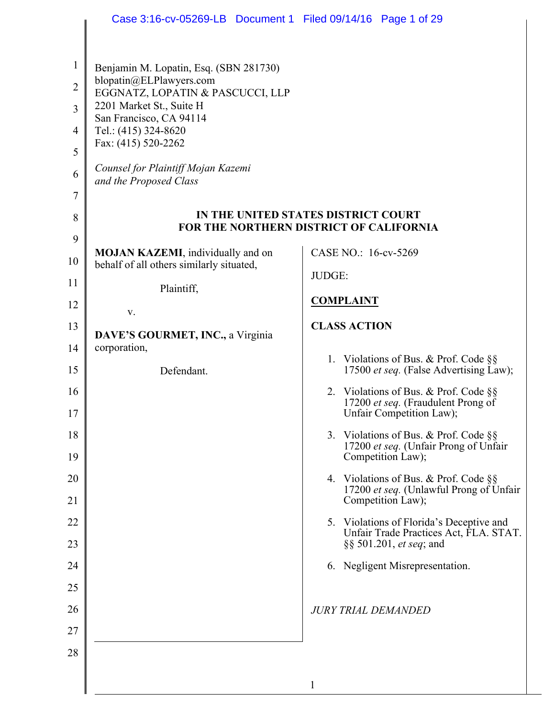|                                | Case 3:16-cv-05269-LB  Document 1  Filed 09/14/16  Page 1 of 29   |                                                                                                           |
|--------------------------------|-------------------------------------------------------------------|-----------------------------------------------------------------------------------------------------------|
|                                |                                                                   |                                                                                                           |
| $\mathbf{1}$<br>$\overline{2}$ | Benjamin M. Lopatin, Esq. (SBN 281730)<br>blopatin@ELPlawyers.com |                                                                                                           |
| 3                              | EGGNATZ, LOPATIN & PASCUCCI, LLP<br>2201 Market St., Suite H      |                                                                                                           |
|                                | San Francisco, CA 94114                                           |                                                                                                           |
| $\overline{4}$<br>5            | Tel.: (415) 324-8620<br>Fax: (415) 520-2262                       |                                                                                                           |
| 6                              | Counsel for Plaintiff Mojan Kazemi<br>and the Proposed Class      |                                                                                                           |
| 7                              |                                                                   |                                                                                                           |
| 8                              |                                                                   | IN THE UNITED STATES DISTRICT COURT<br>FOR THE NORTHERN DISTRICT OF CALIFORNIA                            |
| 9                              | <b>MOJAN KAZEMI</b> , individually and on                         | CASE NO.: 16-cv-5269                                                                                      |
| 10                             | behalf of all others similarly situated,                          | JUDGE:                                                                                                    |
| 11                             | Plaintiff,                                                        |                                                                                                           |
| 12                             | V.                                                                | <b>COMPLAINT</b>                                                                                          |
| 13                             | DAVE'S GOURMET, INC., a Virginia                                  | <b>CLASS ACTION</b>                                                                                       |
| 14                             | corporation,                                                      |                                                                                                           |
| 15                             | Defendant.                                                        | 1. Violations of Bus. & Prof. Code §§<br>17500 et seq. (False Advertising Law);                           |
| 16<br>17                       |                                                                   | 2. Violations of Bus. & Prof. Code $\S$<br>17200 et seq. (Fraudulent Prong of<br>Unfair Competition Law); |
| 18<br>19                       |                                                                   | 3. Violations of Bus. & Prof. Code §§<br>17200 et seq. (Unfair Prong of Unfair<br>Competition Law);       |
| 20                             |                                                                   | 4. Violations of Bus. & Prof. Code §§                                                                     |
| 21                             |                                                                   | 17200 et seq. (Unlawful Prong of Unfair<br>Competition Law);                                              |
| 22                             |                                                                   | 5. Violations of Florida's Deceptive and                                                                  |
| 23                             |                                                                   | Unfair Trade Practices Act, FLA. STAT.<br>§§ 501.201, et seq; and                                         |
| 24                             |                                                                   | 6. Negligent Misrepresentation.                                                                           |
| 25                             |                                                                   |                                                                                                           |
| 26                             |                                                                   | <b>JURY TRIAL DEMANDED</b>                                                                                |
| 27                             |                                                                   |                                                                                                           |
| 28                             |                                                                   |                                                                                                           |
|                                |                                                                   |                                                                                                           |
|                                |                                                                   | 1                                                                                                         |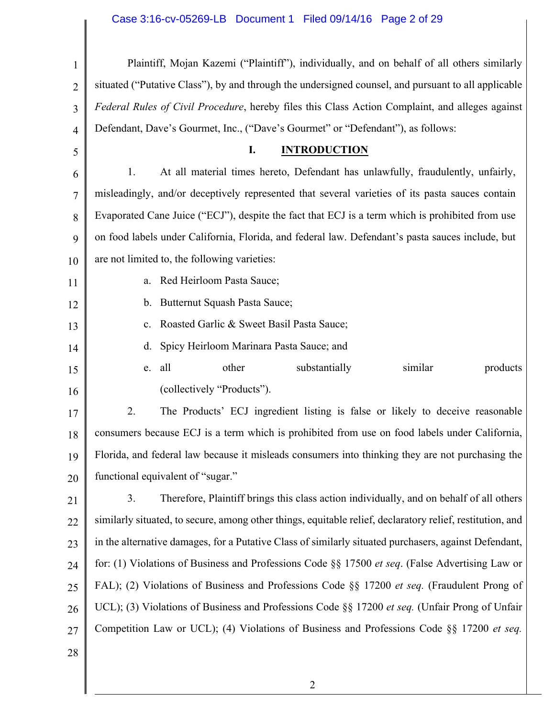# Case 3:16-cv-05269-LB Document 1 Filed 09/14/16 Page 2 of 29

| 1              | Plaintiff, Mojan Kazemi ("Plaintiff"), individually, and on behalf of all others similarly                |  |  |  |
|----------------|-----------------------------------------------------------------------------------------------------------|--|--|--|
| $\overline{2}$ | situated ("Putative Class"), by and through the undersigned counsel, and pursuant to all applicable       |  |  |  |
| 3              | Federal Rules of Civil Procedure, hereby files this Class Action Complaint, and alleges against           |  |  |  |
| $\overline{4}$ | Defendant, Dave's Gourmet, Inc., ("Dave's Gourmet" or "Defendant"), as follows:                           |  |  |  |
| 5              | I.<br><b>INTRODUCTION</b>                                                                                 |  |  |  |
| 6              | At all material times hereto, Defendant has unlawfully, fraudulently, unfairly,<br>1.                     |  |  |  |
| 7              | misleadingly, and/or deceptively represented that several varieties of its pasta sauces contain           |  |  |  |
| 8              | Evaporated Cane Juice ("ECJ"), despite the fact that ECJ is a term which is prohibited from use           |  |  |  |
| 9              | on food labels under California, Florida, and federal law. Defendant's pasta sauces include, but          |  |  |  |
| 10             | are not limited to, the following varieties:                                                              |  |  |  |
| 11             | Red Heirloom Pasta Sauce;<br>a.                                                                           |  |  |  |
| 12             | Butternut Squash Pasta Sauce;<br>b.                                                                       |  |  |  |
| 13             | Roasted Garlic & Sweet Basil Pasta Sauce;<br>c.                                                           |  |  |  |
| 14             | Spicy Heirloom Marinara Pasta Sauce; and<br>d.                                                            |  |  |  |
| 15             | all<br>other<br>similar<br>products<br>substantially<br>e.                                                |  |  |  |
| 16             | (collectively "Products").                                                                                |  |  |  |
| 17             | 2.<br>The Products' ECJ ingredient listing is false or likely to deceive reasonable                       |  |  |  |
| 18             | consumers because ECJ is a term which is prohibited from use on food labels under California,             |  |  |  |
| 19             | Florida, and federal law because it misleads consumers into thinking they are not purchasing the          |  |  |  |
| 20             | functional equivalent of "sugar."                                                                         |  |  |  |
| 21             | Therefore, Plaintiff brings this class action individually, and on behalf of all others<br>3.             |  |  |  |
| 22             | similarly situated, to secure, among other things, equitable relief, declaratory relief, restitution, and |  |  |  |
| 23             | in the alternative damages, for a Putative Class of similarly situated purchasers, against Defendant,     |  |  |  |
| 24             | for: (1) Violations of Business and Professions Code §§ 17500 et seq. (False Advertising Law or           |  |  |  |
| 25             | FAL); (2) Violations of Business and Professions Code §§ 17200 et seq. (Fraudulent Prong of               |  |  |  |
| 26             | UCL); (3) Violations of Business and Professions Code §§ 17200 et seq. (Unfair Prong of Unfair            |  |  |  |
| 27             | Competition Law or UCL); (4) Violations of Business and Professions Code §§ 17200 et seq.                 |  |  |  |
| 28             |                                                                                                           |  |  |  |
|                |                                                                                                           |  |  |  |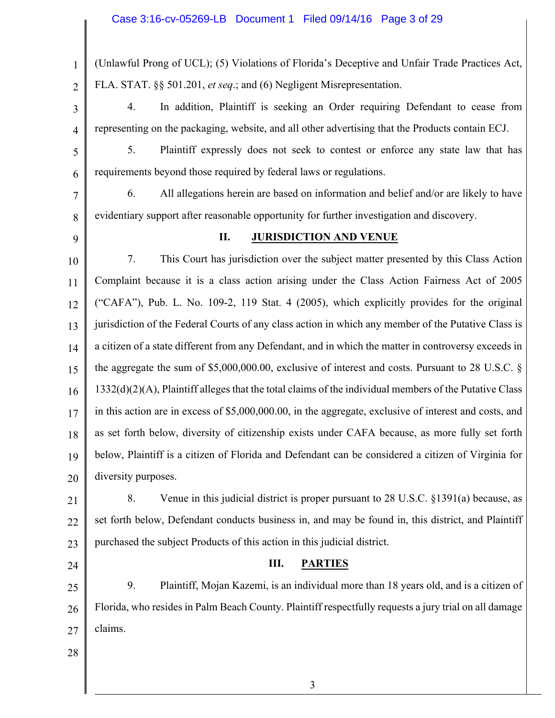1 2 3 4 5 6 7 8 9 10 11 12 13 14 15 16 17 18 19 20 21 22 23 24 25 26 27 28 (Unlawful Prong of UCL); (5) Violations of Florida's Deceptive and Unfair Trade Practices Act, FLA. STAT. §§ 501.201, *et seq*.; and (6) Negligent Misrepresentation. 4. In addition, Plaintiff is seeking an Order requiring Defendant to cease from representing on the packaging, website, and all other advertising that the Products contain ECJ. 5. Plaintiff expressly does not seek to contest or enforce any state law that has requirements beyond those required by federal laws or regulations. 6. All allegations herein are based on information and belief and/or are likely to have evidentiary support after reasonable opportunity for further investigation and discovery. **II. JURISDICTION AND VENUE** 7. This Court has jurisdiction over the subject matter presented by this Class Action Complaint because it is a class action arising under the Class Action Fairness Act of 2005 ("CAFA"), Pub. L. No. 109-2, 119 Stat. 4 (2005), which explicitly provides for the original jurisdiction of the Federal Courts of any class action in which any member of the Putative Class is a citizen of a state different from any Defendant, and in which the matter in controversy exceeds in the aggregate the sum of \$5,000,000.00, exclusive of interest and costs. Pursuant to 28 U.S.C. § 1332(d)(2)(A), Plaintiff alleges that the total claims of the individual members of the Putative Class in this action are in excess of \$5,000,000.00, in the aggregate, exclusive of interest and costs, and as set forth below, diversity of citizenship exists under CAFA because, as more fully set forth below, Plaintiff is a citizen of Florida and Defendant can be considered a citizen of Virginia for diversity purposes. 8. Venue in this judicial district is proper pursuant to 28 U.S.C. §1391(a) because, as set forth below, Defendant conducts business in, and may be found in, this district, and Plaintiff purchased the subject Products of this action in this judicial district. **III. PARTIES** 9. Plaintiff, Mojan Kazemi, is an individual more than 18 years old, and is a citizen of Florida, who resides in Palm Beach County. Plaintiff respectfully requests a jury trial on all damage claims.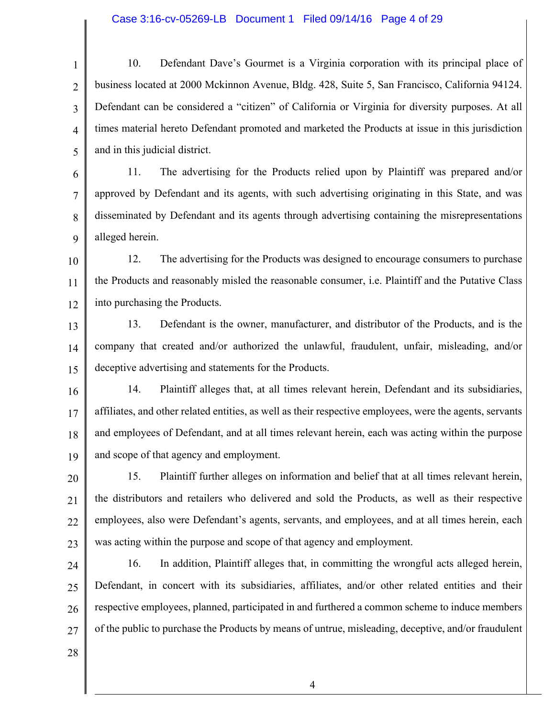#### Case 3:16-cv-05269-LB Document 1 Filed 09/14/16 Page 4 of 29

1 2 3 4 5 10. Defendant Dave's Gourmet is a Virginia corporation with its principal place of business located at 2000 Mckinnon Avenue, Bldg. 428, Suite 5, San Francisco, California 94124. Defendant can be considered a "citizen" of California or Virginia for diversity purposes. At all times material hereto Defendant promoted and marketed the Products at issue in this jurisdiction and in this judicial district.

6 7 8 9 11. The advertising for the Products relied upon by Plaintiff was prepared and/or approved by Defendant and its agents, with such advertising originating in this State, and was disseminated by Defendant and its agents through advertising containing the misrepresentations alleged herein.

10 11 12 12. The advertising for the Products was designed to encourage consumers to purchase the Products and reasonably misled the reasonable consumer, i.e. Plaintiff and the Putative Class into purchasing the Products.

13 14 15 13. Defendant is the owner, manufacturer, and distributor of the Products, and is the company that created and/or authorized the unlawful, fraudulent, unfair, misleading, and/or deceptive advertising and statements for the Products.

16 17 18 19 14. Plaintiff alleges that, at all times relevant herein, Defendant and its subsidiaries, affiliates, and other related entities, as well as their respective employees, were the agents, servants and employees of Defendant, and at all times relevant herein, each was acting within the purpose and scope of that agency and employment.

20 21 22 23 15. Plaintiff further alleges on information and belief that at all times relevant herein, the distributors and retailers who delivered and sold the Products, as well as their respective employees, also were Defendant's agents, servants, and employees, and at all times herein, each was acting within the purpose and scope of that agency and employment.

24 25 26 27 16. In addition, Plaintiff alleges that, in committing the wrongful acts alleged herein, Defendant, in concert with its subsidiaries, affiliates, and/or other related entities and their respective employees, planned, participated in and furthered a common scheme to induce members of the public to purchase the Products by means of untrue, misleading, deceptive, and/or fraudulent

28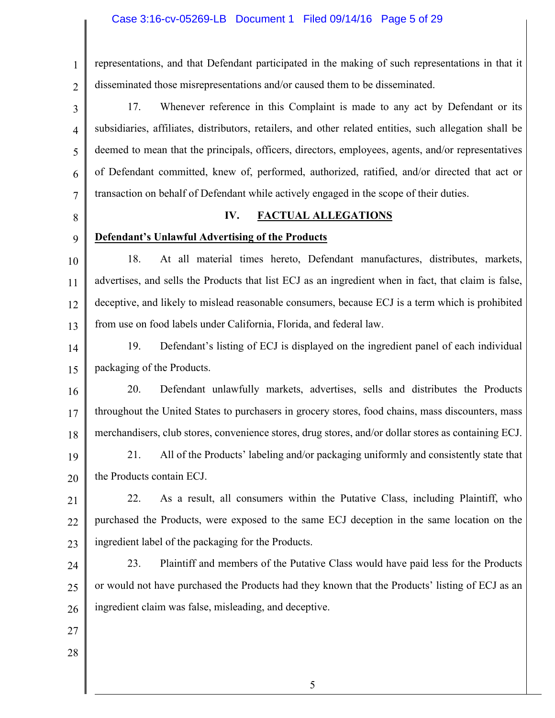### Case 3:16-cv-05269-LB Document 1 Filed 09/14/16 Page 5 of 29

1 2 representations, and that Defendant participated in the making of such representations in that it disseminated those misrepresentations and/or caused them to be disseminated.

3 4

5

6

7

17. Whenever reference in this Complaint is made to any act by Defendant or its subsidiaries, affiliates, distributors, retailers, and other related entities, such allegation shall be deemed to mean that the principals, officers, directors, employees, agents, and/or representatives of Defendant committed, knew of, performed, authorized, ratified, and/or directed that act or transaction on behalf of Defendant while actively engaged in the scope of their duties.

8

### **IV. FACTUAL ALLEGATIONS**

9

## **Defendant's Unlawful Advertising of the Products**

10 11 12 13 18. At all material times hereto, Defendant manufactures, distributes, markets, advertises, and sells the Products that list ECJ as an ingredient when in fact, that claim is false, deceptive, and likely to mislead reasonable consumers, because ECJ is a term which is prohibited from use on food labels under California, Florida, and federal law.

14 15 19. Defendant's listing of ECJ is displayed on the ingredient panel of each individual packaging of the Products.

16 17 18 20. Defendant unlawfully markets, advertises, sells and distributes the Products throughout the United States to purchasers in grocery stores, food chains, mass discounters, mass merchandisers, club stores, convenience stores, drug stores, and/or dollar stores as containing ECJ.

19 20 21. All of the Products' labeling and/or packaging uniformly and consistently state that the Products contain ECJ.

21 22 23 22. As a result, all consumers within the Putative Class, including Plaintiff, who purchased the Products, were exposed to the same ECJ deception in the same location on the ingredient label of the packaging for the Products.

24 25 26 23. Plaintiff and members of the Putative Class would have paid less for the Products or would not have purchased the Products had they known that the Products' listing of ECJ as an ingredient claim was false, misleading, and deceptive.

- 27
- 28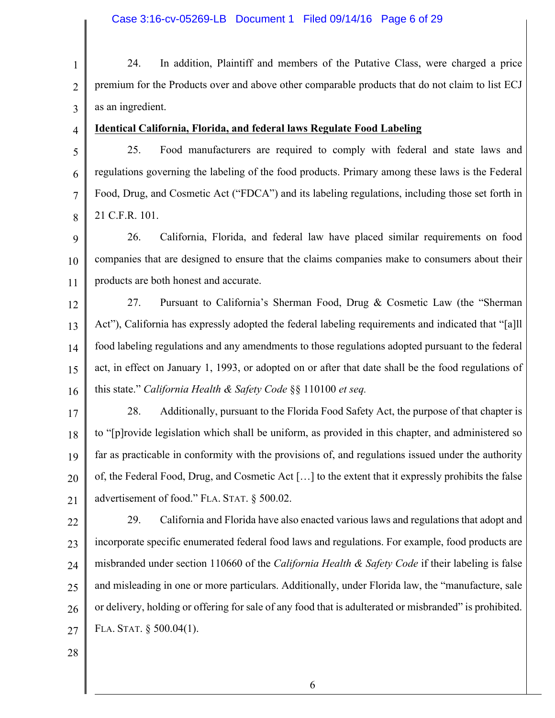| $\mathbf{1}$   | In addition, Plaintiff and members of the Putative Class, were charged a price<br>24.                   |  |
|----------------|---------------------------------------------------------------------------------------------------------|--|
| $\overline{2}$ | premium for the Products over and above other comparable products that do not claim to list ECJ         |  |
| 3              | as an ingredient.                                                                                       |  |
| $\overline{4}$ | <b>Identical California, Florida, and federal laws Regulate Food Labeling</b>                           |  |
| 5              | Food manufacturers are required to comply with federal and state laws and<br>25.                        |  |
| 6              | regulations governing the labeling of the food products. Primary among these laws is the Federal        |  |
| $\tau$         | Food, Drug, and Cosmetic Act ("FDCA") and its labeling regulations, including those set forth in        |  |
| 8              | 21 C.F.R. 101.                                                                                          |  |
| 9              | California, Florida, and federal law have placed similar requirements on food<br>26.                    |  |
| 10             | companies that are designed to ensure that the claims companies make to consumers about their           |  |
| 11             | products are both honest and accurate.                                                                  |  |
| 12             | Pursuant to California's Sherman Food, Drug & Cosmetic Law (the "Sherman<br>27.                         |  |
| 13             | Act"), California has expressly adopted the federal labeling requirements and indicated that "[a]ll     |  |
| 14             | food labeling regulations and any amendments to those regulations adopted pursuant to the federal       |  |
| 15             | act, in effect on January 1, 1993, or adopted on or after that date shall be the food regulations of    |  |
| 16             | this state." California Health & Safety Code §§ 110100 et seq.                                          |  |
| 17             | Additionally, pursuant to the Florida Food Safety Act, the purpose of that chapter is<br>28.            |  |
| 18             | to "[p]rovide legislation which shall be uniform, as provided in this chapter, and administered so      |  |
| 19             | far as practicable in conformity with the provisions of, and regulations issued under the authority     |  |
| 20             | of, the Federal Food, Drug, and Cosmetic Act [] to the extent that it expressly prohibits the false     |  |
| 21             | advertisement of food." FLA. STAT. § 500.02.                                                            |  |
| 22             | 29.<br>California and Florida have also enacted various laws and regulations that adopt and             |  |
| 23             | incorporate specific enumerated federal food laws and regulations. For example, food products are       |  |
| 24             | misbranded under section 110660 of the California Health & Safety Code if their labeling is false       |  |
| 25             | and misleading in one or more particulars. Additionally, under Florida law, the "manufacture, sale      |  |
| 26             | or delivery, holding or offering for sale of any food that is adulterated or misbranded" is prohibited. |  |
| 27             | FLA. STAT. § 500.04(1).                                                                                 |  |
| 28             |                                                                                                         |  |
|                |                                                                                                         |  |
|                | 6                                                                                                       |  |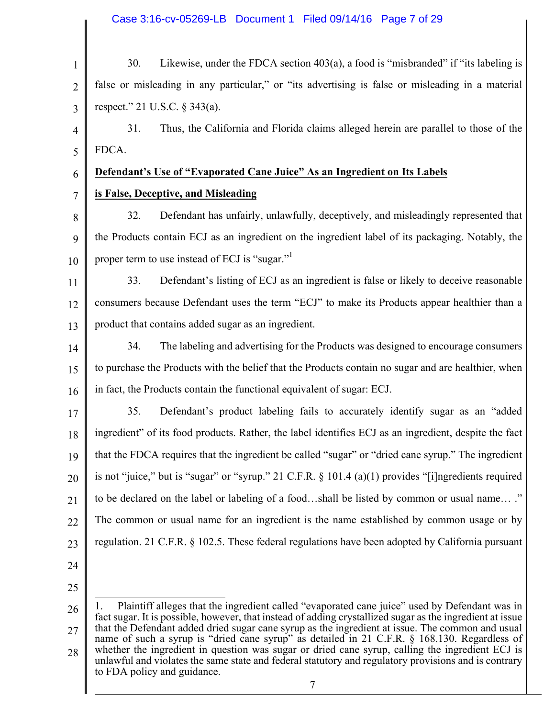### Case 3:16-cv-05269-LB Document 1 Filed 09/14/16 Page 7 of 29

| $\mathbf{1}$   | Likewise, under the FDCA section 403(a), a food is "misbranded" if "its labeling is<br>30.                                                                                                                                                                                                                                                                                                                     |  |  |
|----------------|----------------------------------------------------------------------------------------------------------------------------------------------------------------------------------------------------------------------------------------------------------------------------------------------------------------------------------------------------------------------------------------------------------------|--|--|
| $\overline{2}$ | false or misleading in any particular," or "its advertising is false or misleading in a material                                                                                                                                                                                                                                                                                                               |  |  |
| 3              | respect." 21 U.S.C. § 343(a).                                                                                                                                                                                                                                                                                                                                                                                  |  |  |
| 4              | Thus, the California and Florida claims alleged herein are parallel to those of the<br>31.                                                                                                                                                                                                                                                                                                                     |  |  |
| 5              | FDCA.                                                                                                                                                                                                                                                                                                                                                                                                          |  |  |
| 6              | Defendant's Use of "Evaporated Cane Juice" As an Ingredient on Its Labels                                                                                                                                                                                                                                                                                                                                      |  |  |
| $\overline{7}$ | is False, Deceptive, and Misleading                                                                                                                                                                                                                                                                                                                                                                            |  |  |
| 8              | Defendant has unfairly, unlawfully, deceptively, and misleadingly represented that<br>32.                                                                                                                                                                                                                                                                                                                      |  |  |
| 9              | the Products contain ECJ as an ingredient on the ingredient label of its packaging. Notably, the                                                                                                                                                                                                                                                                                                               |  |  |
| 10             | proper term to use instead of ECJ is "sugar."                                                                                                                                                                                                                                                                                                                                                                  |  |  |
| 11             | Defendant's listing of ECJ as an ingredient is false or likely to deceive reasonable<br>33.                                                                                                                                                                                                                                                                                                                    |  |  |
| 12             | consumers because Defendant uses the term "ECJ" to make its Products appear healthier than a                                                                                                                                                                                                                                                                                                                   |  |  |
| 13             | product that contains added sugar as an ingredient.                                                                                                                                                                                                                                                                                                                                                            |  |  |
| 14             | The labeling and advertising for the Products was designed to encourage consumers<br>34.                                                                                                                                                                                                                                                                                                                       |  |  |
| 15             | to purchase the Products with the belief that the Products contain no sugar and are healthier, when                                                                                                                                                                                                                                                                                                            |  |  |
| 16             | in fact, the Products contain the functional equivalent of sugar: ECJ.                                                                                                                                                                                                                                                                                                                                         |  |  |
| 17             | Defendant's product labeling fails to accurately identify sugar as an "added"<br>35.                                                                                                                                                                                                                                                                                                                           |  |  |
| 18             | ingredient" of its food products. Rather, the label identifies ECJ as an ingredient, despite the fact                                                                                                                                                                                                                                                                                                          |  |  |
| 19             | that the FDCA requires that the ingredient be called "sugar" or "dried cane syrup." The ingredient                                                                                                                                                                                                                                                                                                             |  |  |
| 20             | is not "juice," but is "sugar" or "syrup." 21 C.F.R. $\S$ 101.4 (a)(1) provides "[i]ngredients required                                                                                                                                                                                                                                                                                                        |  |  |
| 21             | to be declared on the label or labeling of a foodshall be listed by common or usual name"                                                                                                                                                                                                                                                                                                                      |  |  |
| 22             | The common or usual name for an ingredient is the name established by common usage or by                                                                                                                                                                                                                                                                                                                       |  |  |
| 23             | regulation. 21 C.F.R. § 102.5. These federal regulations have been adopted by California pursuant                                                                                                                                                                                                                                                                                                              |  |  |
| 24             |                                                                                                                                                                                                                                                                                                                                                                                                                |  |  |
| 25             |                                                                                                                                                                                                                                                                                                                                                                                                                |  |  |
| 26<br>27       | Plaintiff alleges that the ingredient called "evaporated cane juice" used by Defendant was in<br>fact sugar. It is possible, however, that instead of adding crystallized sugar as the ingredient at issue<br>that the Defendant added dried sugar cane syrup as the ingredient at issue. The common and usual<br>name of such a syrup is "dried cane syrup" as detailed in 21 C.F.R. § 168.130. Regardless of |  |  |

28 whether the ingredient in question was sugar or dried cane syrup, calling the ingredient ECJ is unlawful and violates the same state and federal statutory and regulatory provisions and is contrary to FDA policy and guidance.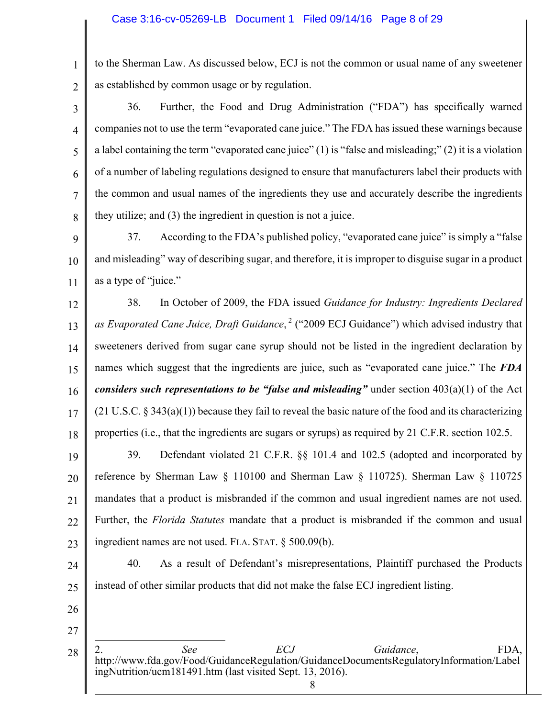to the Sherman Law. As discussed below, ECJ is not the common or usual name of any sweetener as established by common usage or by regulation.

3 4 5 6 7 8 36. Further, the Food and Drug Administration ("FDA") has specifically warned companies not to use the term "evaporated cane juice." The FDA has issued these warnings because a label containing the term "evaporated cane juice" (1) is "false and misleading;" (2) it is a violation of a number of labeling regulations designed to ensure that manufacturers label their products with the common and usual names of the ingredients they use and accurately describe the ingredients they utilize; and (3) the ingredient in question is not a juice.

9 10 11 37. According to the FDA's published policy, "evaporated cane juice" is simply a "false and misleading" way of describing sugar, and therefore, it is improper to disguise sugar in a product as a type of "juice."

12 13 14 15 16 17 18 38. In October of 2009, the FDA issued *Guidance for Industry: Ingredients Declared*  as *Evaporated Cane Juice, Draft Guidance*,<sup>2</sup> ("2009 ECJ Guidance") which advised industry that sweeteners derived from sugar cane syrup should not be listed in the ingredient declaration by names which suggest that the ingredients are juice, such as "evaporated cane juice." The *FDA considers such representations to be "false and misleading"* under section 403(a)(1) of the Act  $(21 \text{ U.S.C. }$  § 343(a)(1)) because they fail to reveal the basic nature of the food and its characterizing properties (i.e., that the ingredients are sugars or syrups) as required by 21 C.F.R. section 102.5.

19 20 21 22 23 39. Defendant violated 21 C.F.R. §§ 101.4 and 102.5 (adopted and incorporated by reference by Sherman Law § 110100 and Sherman Law § 110725). Sherman Law § 110725 mandates that a product is misbranded if the common and usual ingredient names are not used. Further, the *Florida Statutes* mandate that a product is misbranded if the common and usual ingredient names are not used. FLA. STAT. § 500.09(b).

24 25 40. As a result of Defendant's misrepresentations, Plaintiff purchased the Products instead of other similar products that did not make the false ECJ ingredient listing.

26

 $\overline{a}$ 

1

 $\overline{2}$ 

<sup>28</sup> 2. *See ECJ Guidance*, FDA, http://www.fda.gov/Food/GuidanceRegulation/GuidanceDocumentsRegulatoryInformation/Label ingNutrition/ucm181491.htm (last visited Sept. 13, 2016).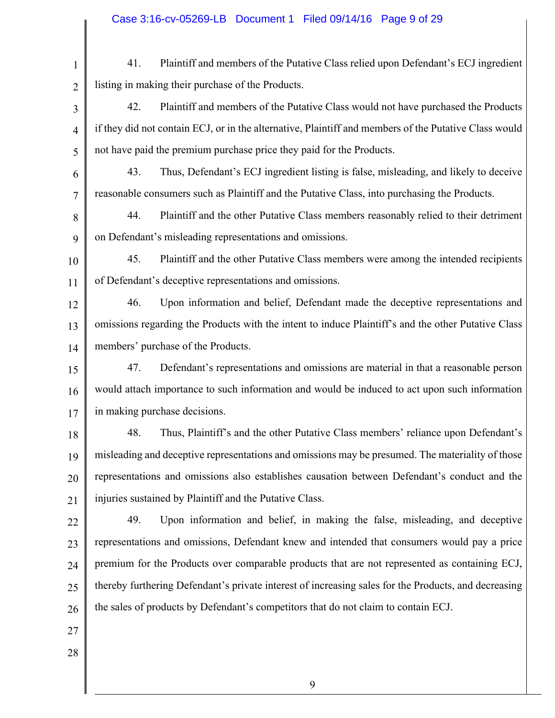1 2 3 4 5 6 7 8 9 10 11 12 13 14 15 16 17 18 19 20 21 22 23 24 25 26 27 28 41. Plaintiff and members of the Putative Class relied upon Defendant's ECJ ingredient listing in making their purchase of the Products. 42. Plaintiff and members of the Putative Class would not have purchased the Products if they did not contain ECJ, or in the alternative, Plaintiff and members of the Putative Class would not have paid the premium purchase price they paid for the Products. 43. Thus, Defendant's ECJ ingredient listing is false, misleading, and likely to deceive reasonable consumers such as Plaintiff and the Putative Class, into purchasing the Products. 44. Plaintiff and the other Putative Class members reasonably relied to their detriment on Defendant's misleading representations and omissions. 45. Plaintiff and the other Putative Class members were among the intended recipients of Defendant's deceptive representations and omissions. 46. Upon information and belief, Defendant made the deceptive representations and omissions regarding the Products with the intent to induce Plaintiff's and the other Putative Class members' purchase of the Products. 47. Defendant's representations and omissions are material in that a reasonable person would attach importance to such information and would be induced to act upon such information in making purchase decisions. 48. Thus, Plaintiff's and the other Putative Class members' reliance upon Defendant's misleading and deceptive representations and omissions may be presumed. The materiality of those representations and omissions also establishes causation between Defendant's conduct and the injuries sustained by Plaintiff and the Putative Class. 49. Upon information and belief, in making the false, misleading, and deceptive representations and omissions, Defendant knew and intended that consumers would pay a price premium for the Products over comparable products that are not represented as containing ECJ, thereby furthering Defendant's private interest of increasing sales for the Products, and decreasing the sales of products by Defendant's competitors that do not claim to contain ECJ.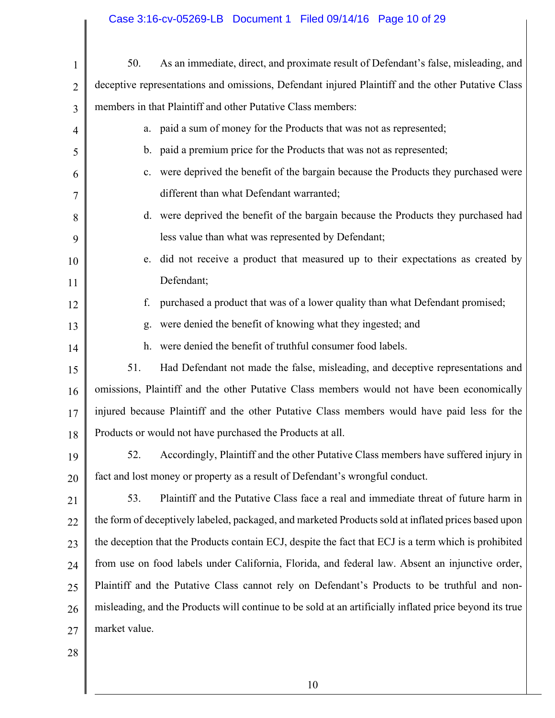## Case 3:16-cv-05269-LB Document 1 Filed 09/14/16 Page 10 of 29

| $\mathbf{1}$   | 50.                                                                                                     | As an immediate, direct, and proximate result of Defendant's false, misleading, and                  |
|----------------|---------------------------------------------------------------------------------------------------------|------------------------------------------------------------------------------------------------------|
| $\overline{2}$ |                                                                                                         | deceptive representations and omissions, Defendant injured Plaintiff and the other Putative Class    |
| 3              | members in that Plaintiff and other Putative Class members:                                             |                                                                                                      |
| $\overline{4}$ |                                                                                                         | a. paid a sum of money for the Products that was not as represented;                                 |
| 5              |                                                                                                         | b. paid a premium price for the Products that was not as represented;                                |
| 6              |                                                                                                         | c. were deprived the benefit of the bargain because the Products they purchased were                 |
| 7              |                                                                                                         | different than what Defendant warranted;                                                             |
| 8              |                                                                                                         | d. were deprived the benefit of the bargain because the Products they purchased had                  |
| 9              |                                                                                                         | less value than what was represented by Defendant;                                                   |
| 10             | e.                                                                                                      | did not receive a product that measured up to their expectations as created by                       |
| 11             |                                                                                                         | Defendant;                                                                                           |
| 12             | f.                                                                                                      | purchased a product that was of a lower quality than what Defendant promised;                        |
| 13             | g.                                                                                                      | were denied the benefit of knowing what they ingested; and                                           |
| 14             |                                                                                                         | h. were denied the benefit of truthful consumer food labels.                                         |
| 15             | 51.                                                                                                     | Had Defendant not made the false, misleading, and deceptive representations and                      |
| 16             |                                                                                                         | omissions, Plaintiff and the other Putative Class members would not have been economically           |
| 17             |                                                                                                         | injured because Plaintiff and the other Putative Class members would have paid less for the          |
| 18             |                                                                                                         | Products or would not have purchased the Products at all.                                            |
| 19             | 52.                                                                                                     | Accordingly, Plaintiff and the other Putative Class members have suffered injury in                  |
| 20             |                                                                                                         | fact and lost money or property as a result of Defendant's wrongful conduct.                         |
| 21             | 53.                                                                                                     | Plaintiff and the Putative Class face a real and immediate threat of future harm in                  |
| 22             |                                                                                                         | the form of deceptively labeled, packaged, and marketed Products sold at inflated prices based upon  |
| 23             |                                                                                                         | the deception that the Products contain ECJ, despite the fact that ECJ is a term which is prohibited |
| 24             |                                                                                                         | from use on food labels under California, Florida, and federal law. Absent an injunctive order,      |
| 25             |                                                                                                         | Plaintiff and the Putative Class cannot rely on Defendant's Products to be truthful and non-         |
| 26             | misleading, and the Products will continue to be sold at an artificially inflated price beyond its true |                                                                                                      |
| 27             | market value.                                                                                           |                                                                                                      |
| 28             |                                                                                                         |                                                                                                      |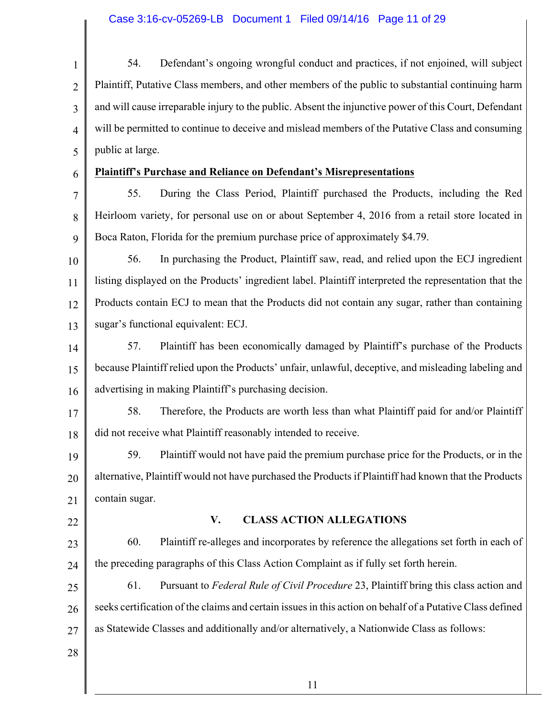1 2 3 4 5 6 7 8 9 10 11 12 13 14 15 16 17 18 19 20 21 22 23 24 25 26 27 28 54. Defendant's ongoing wrongful conduct and practices, if not enjoined, will subject Plaintiff, Putative Class members, and other members of the public to substantial continuing harm and will cause irreparable injury to the public. Absent the injunctive power of this Court, Defendant will be permitted to continue to deceive and mislead members of the Putative Class and consuming public at large. **Plaintiff's Purchase and Reliance on Defendant's Misrepresentations** 55. During the Class Period, Plaintiff purchased the Products, including the Red Heirloom variety, for personal use on or about September 4, 2016 from a retail store located in Boca Raton, Florida for the premium purchase price of approximately \$4.79. 56. In purchasing the Product, Plaintiff saw, read, and relied upon the ECJ ingredient listing displayed on the Products' ingredient label. Plaintiff interpreted the representation that the Products contain ECJ to mean that the Products did not contain any sugar, rather than containing sugar's functional equivalent: ECJ. 57. Plaintiff has been economically damaged by Plaintiff's purchase of the Products because Plaintiff relied upon the Products' unfair, unlawful, deceptive, and misleading labeling and advertising in making Plaintiff's purchasing decision. 58. Therefore, the Products are worth less than what Plaintiff paid for and/or Plaintiff did not receive what Plaintiff reasonably intended to receive. 59. Plaintiff would not have paid the premium purchase price for the Products, or in the alternative, Plaintiff would not have purchased the Products if Plaintiff had known that the Products contain sugar. **V. CLASS ACTION ALLEGATIONS** 60. Plaintiff re-alleges and incorporates by reference the allegations set forth in each of the preceding paragraphs of this Class Action Complaint as if fully set forth herein. 61. Pursuant to *Federal Rule of Civil Procedure* 23, Plaintiff bring this class action and seeks certification of the claims and certain issues in this action on behalf of a Putative Class defined as Statewide Classes and additionally and/or alternatively, a Nationwide Class as follows: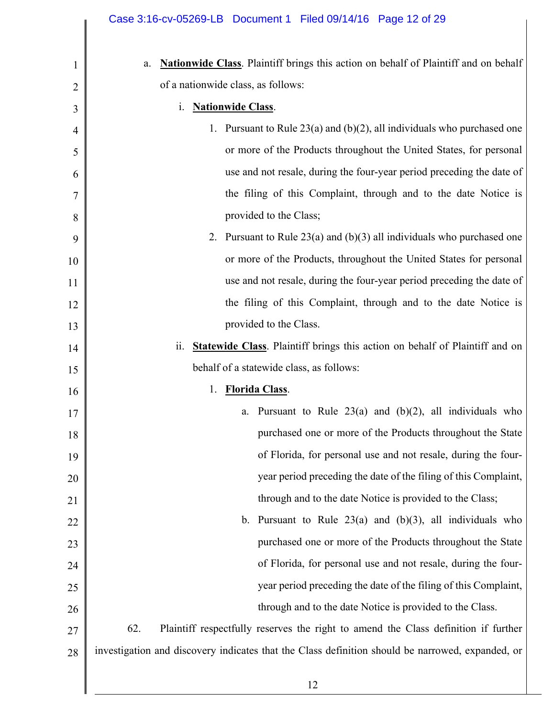| Nationwide Class. Plaintiff brings this action on behalf of Plaintiff and on behalf<br>a.        |
|--------------------------------------------------------------------------------------------------|
| of a nationwide class, as follows:                                                               |
| <b>Nationwide Class.</b><br>1.                                                                   |
| 1. Pursuant to Rule $23(a)$ and (b)(2), all individuals who purchased one                        |
| or more of the Products throughout the United States, for personal                               |
| use and not resale, during the four-year period preceding the date of                            |
| the filing of this Complaint, through and to the date Notice is                                  |
| provided to the Class;                                                                           |
| 2. Pursuant to Rule $23(a)$ and $(b)(3)$ all individuals who purchased one                       |
| or more of the Products, throughout the United States for personal                               |
| use and not resale, during the four-year period preceding the date of                            |
| the filing of this Complaint, through and to the date Notice is                                  |
| provided to the Class.                                                                           |
| <b>Statewide Class.</b> Plaintiff brings this action on behalf of Plaintiff and on<br>11.        |
| behalf of a statewide class, as follows:                                                         |
| <b>Florida Class.</b><br>1.                                                                      |
| a. Pursuant to Rule $23(a)$ and $(b)(2)$ , all individuals who                                   |
| purchased one or more of the Products throughout the State                                       |
| of Florida, for personal use and not resale, during the four-                                    |
| year period preceding the date of the filing of this Complaint,                                  |
| through and to the date Notice is provided to the Class;                                         |
| Pursuant to Rule $23(a)$ and $(b)(3)$ , all individuals who<br>$\mathbf b$ .                     |
| purchased one or more of the Products throughout the State                                       |
| of Florida, for personal use and not resale, during the four-                                    |
| year period preceding the date of the filing of this Complaint,                                  |
| through and to the date Notice is provided to the Class.                                         |
| 62.<br>Plaintiff respectfully reserves the right to amend the Class definition if further        |
| investigation and discovery indicates that the Class definition should be narrowed, expanded, or |
|                                                                                                  |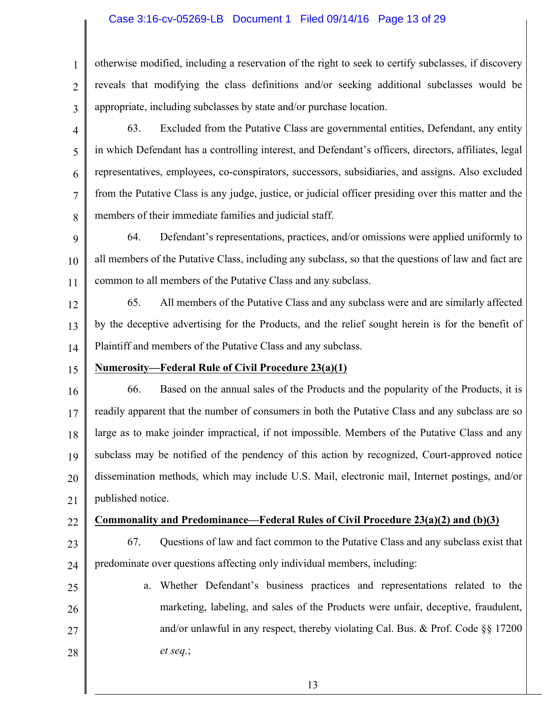### Case 3:16-cv-05269-LB Document 1 Filed 09/14/16 Page 13 of 29

otherwise modified, including a reservation of the right to seek to certify subclasses, if discovery reveals that modifying the class definitions and/or seeking additional subclasses would be appropriate, including subclasses by state and/or purchase location.

3 4

5

6

7

8

1

 $\mathfrak{D}$ 

63. Excluded from the Putative Class are governmental entities, Defendant, any entity in which Defendant has a controlling interest, and Defendant's officers, directors, affiliates, legal representatives, employees, co-conspirators, successors, subsidiaries, and assigns. Also excluded from the Putative Class is any judge, justice, or judicial officer presiding over this matter and the members of their immediate families and judicial staff.

9 10 11 64. Defendant's representations, practices, and/or omissions were applied uniformly to all members of the Putative Class, including any subclass, so that the questions of law and fact are common to all members of the Putative Class and any subclass.

12 13 14 65. All members of the Putative Class and any subclass were and are similarly affected by the deceptive advertising for the Products, and the relief sought herein is for the benefit of Plaintiff and members of the Putative Class and any subclass.

15 **Numerosity—Federal Rule of Civil Procedure 23(a)(1)**

16 17 18 19 20 21 66. Based on the annual sales of the Products and the popularity of the Products, it is readily apparent that the number of consumers in both the Putative Class and any subclass are so large as to make joinder impractical, if not impossible. Members of the Putative Class and any subclass may be notified of the pendency of this action by recognized, Court-approved notice dissemination methods, which may include U.S. Mail, electronic mail, Internet postings, and/or published notice.

22

- **Commonality and Predominance—Federal Rules of Civil Procedure 23(a)(2) and (b)(3)**
- 23

24

67. Questions of law and fact common to the Putative Class and any subclass exist that predominate over questions affecting only individual members, including:

25 26 27 28 a. Whether Defendant's business practices and representations related to the marketing, labeling, and sales of the Products were unfair, deceptive, fraudulent, and/or unlawful in any respect, thereby violating Cal. Bus. & Prof. Code  $\S$  17200 *et seq.*;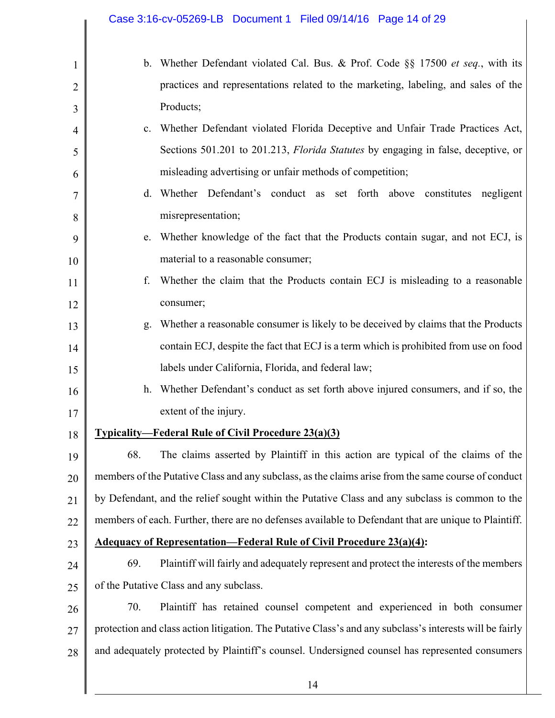|                | Case 3:16-cv-05269-LB  Document 1  Filed 09/14/16  Page 14 of 29                                         |
|----------------|----------------------------------------------------------------------------------------------------------|
| $\mathbf{1}$   | b. Whether Defendant violated Cal. Bus. & Prof. Code §§ 17500 <i>et seq.</i> , with its                  |
| $\overline{2}$ | practices and representations related to the marketing, labeling, and sales of the                       |
| 3              | Products;                                                                                                |
| 4              | c. Whether Defendant violated Florida Deceptive and Unfair Trade Practices Act,                          |
| 5              | Sections 501.201 to 201.213, <i>Florida Statutes</i> by engaging in false, deceptive, or                 |
| 6              | misleading advertising or unfair methods of competition;                                                 |
| 7              | d. Whether Defendant's conduct as set forth above constitutes negligent                                  |
| 8              | misrepresentation;                                                                                       |
| 9              | e. Whether knowledge of the fact that the Products contain sugar, and not ECJ, is                        |
| 10             | material to a reasonable consumer;                                                                       |
| 11             | Whether the claim that the Products contain ECJ is misleading to a reasonable<br>f.                      |
| 12             | consumer;                                                                                                |
| 13             | Whether a reasonable consumer is likely to be deceived by claims that the Products<br>g.                 |
| 14             | contain ECJ, despite the fact that ECJ is a term which is prohibited from use on food                    |
| 15             | labels under California, Florida, and federal law;                                                       |
| 16             | h. Whether Defendant's conduct as set forth above injured consumers, and if so, the                      |
| 17             | extent of the injury.                                                                                    |
| 18             | <b>Typicality—Federal Rule of Civil Procedure 23(a)(3)</b>                                               |
| 19             | 68.<br>The claims asserted by Plaintiff in this action are typical of the claims of the                  |
| 20             | members of the Putative Class and any subclass, as the claims arise from the same course of conduct      |
| 21             | by Defendant, and the relief sought within the Putative Class and any subclass is common to the          |
| 22             | members of each. Further, there are no defenses available to Defendant that are unique to Plaintiff.     |
| 23             | <b>Adequacy of Representation—Federal Rule of Civil Procedure 23(a)(4):</b>                              |
| 24             | 69.<br>Plaintiff will fairly and adequately represent and protect the interests of the members           |
| 25             | of the Putative Class and any subclass.                                                                  |
| 26             | 70.<br>Plaintiff has retained counsel competent and experienced in both consumer                         |
| 27             | protection and class action litigation. The Putative Class's and any subclass's interests will be fairly |
| 28             | and adequately protected by Plaintiff's counsel. Undersigned counsel has represented consumers           |
|                | 14                                                                                                       |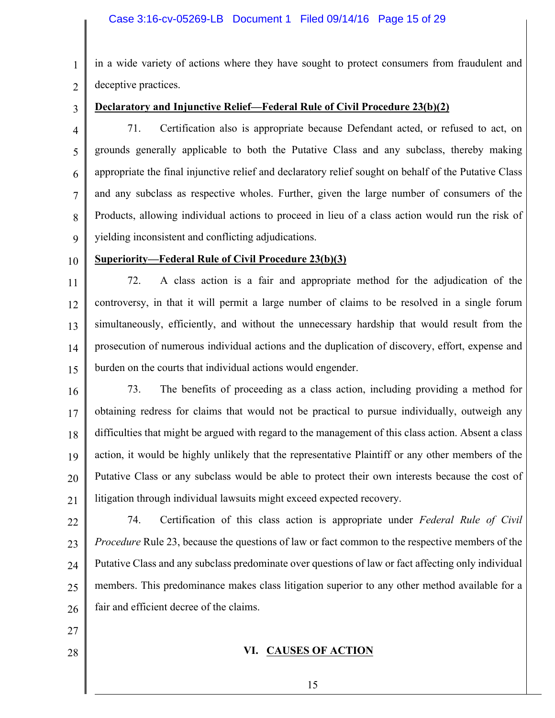1  $\overline{2}$ in a wide variety of actions where they have sought to protect consumers from fraudulent and deceptive practices.

3

## **Declaratory and Injunctive Relief—Federal Rule of Civil Procedure 23(b)(2)**

4 5 6 7 8 9 71. Certification also is appropriate because Defendant acted, or refused to act, on grounds generally applicable to both the Putative Class and any subclass, thereby making appropriate the final injunctive relief and declaratory relief sought on behalf of the Putative Class and any subclass as respective wholes. Further, given the large number of consumers of the Products, allowing individual actions to proceed in lieu of a class action would run the risk of yielding inconsistent and conflicting adjudications.

10

## **Superiority—Federal Rule of Civil Procedure 23(b)(3)**

11 12 13 14 15 72. A class action is a fair and appropriate method for the adjudication of the controversy, in that it will permit a large number of claims to be resolved in a single forum simultaneously, efficiently, and without the unnecessary hardship that would result from the prosecution of numerous individual actions and the duplication of discovery, effort, expense and burden on the courts that individual actions would engender.

16 17 18 19 20 21 73. The benefits of proceeding as a class action, including providing a method for obtaining redress for claims that would not be practical to pursue individually, outweigh any difficulties that might be argued with regard to the management of this class action. Absent a class action, it would be highly unlikely that the representative Plaintiff or any other members of the Putative Class or any subclass would be able to protect their own interests because the cost of litigation through individual lawsuits might exceed expected recovery.

22 23 24 25 26 74. Certification of this class action is appropriate under *Federal Rule of Civil Procedure* Rule 23, because the questions of law or fact common to the respective members of the Putative Class and any subclass predominate over questions of law or fact affecting only individual members. This predominance makes class litigation superior to any other method available for a fair and efficient decree of the claims.

- 27
- 28

## **VI. CAUSES OF ACTION**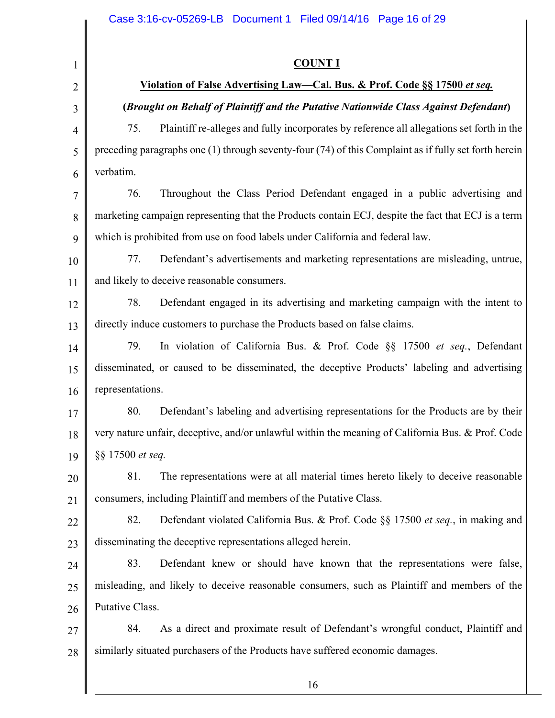| $\mathbf{1}$   | <b>COUNT I</b>                                                                                            |  |  |
|----------------|-----------------------------------------------------------------------------------------------------------|--|--|
| $\overline{2}$ | Violation of False Advertising Law-Cal. Bus. & Prof. Code §§ 17500 et seq.                                |  |  |
| 3              | (Brought on Behalf of Plaintiff and the Putative Nationwide Class Against Defendant)                      |  |  |
| $\overline{4}$ | Plaintiff re-alleges and fully incorporates by reference all allegations set forth in the<br>75.          |  |  |
| 5              | preceding paragraphs one $(1)$ through seventy-four $(74)$ of this Complaint as if fully set forth herein |  |  |
| 6              | verbatim.                                                                                                 |  |  |
| 7              | Throughout the Class Period Defendant engaged in a public advertising and<br>76.                          |  |  |
| 8              | marketing campaign representing that the Products contain ECJ, despite the fact that ECJ is a term        |  |  |
| 9              | which is prohibited from use on food labels under California and federal law.                             |  |  |
| 10             | 77.<br>Defendant's advertisements and marketing representations are misleading, untrue,                   |  |  |
| 11             | and likely to deceive reasonable consumers.                                                               |  |  |
| 12             | 78.<br>Defendant engaged in its advertising and marketing campaign with the intent to                     |  |  |
| 13             | directly induce customers to purchase the Products based on false claims.                                 |  |  |
| 14             | 79.<br>In violation of California Bus. & Prof. Code §§ 17500 et seq., Defendant                           |  |  |
| 15             | disseminated, or caused to be disseminated, the deceptive Products' labeling and advertising              |  |  |
| 16             | representations.                                                                                          |  |  |
| 17             | 80.<br>Defendant's labeling and advertising representations for the Products are by their                 |  |  |
| 18             | very nature unfair, deceptive, and/or unlawful within the meaning of California Bus. & Prof. Code         |  |  |
| 19             | §§ 17500 et seq.                                                                                          |  |  |
| 20             | 81.<br>The representations were at all material times hereto likely to deceive reasonable                 |  |  |
| 21             | consumers, including Plaintiff and members of the Putative Class.                                         |  |  |
| 22             | 82.<br>Defendant violated California Bus. & Prof. Code §§ 17500 et seq., in making and                    |  |  |
| 23             | disseminating the deceptive representations alleged herein.                                               |  |  |
| 24             | 83.<br>Defendant knew or should have known that the representations were false,                           |  |  |
| 25             | misleading, and likely to deceive reasonable consumers, such as Plaintiff and members of the              |  |  |
| 26             | Putative Class.                                                                                           |  |  |
| 27             | As a direct and proximate result of Defendant's wrongful conduct, Plaintiff and<br>84.                    |  |  |
| 28             | similarly situated purchasers of the Products have suffered economic damages.                             |  |  |
|                | 16                                                                                                        |  |  |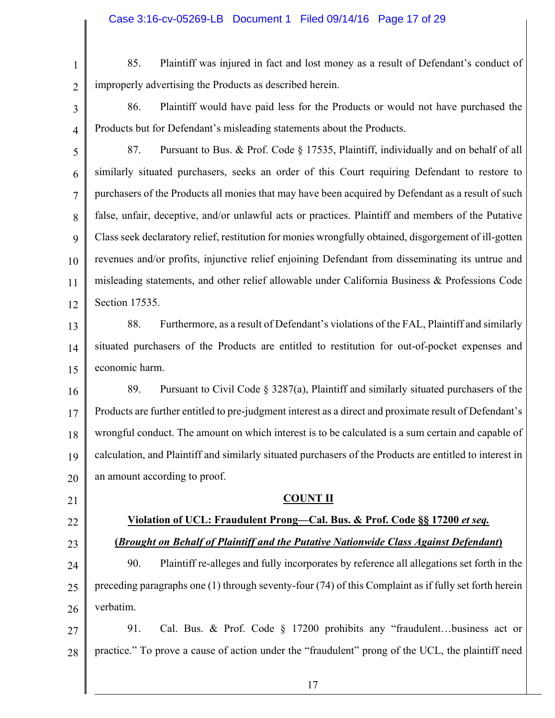1

85. Plaintiff was injured in fact and lost money as a result of Defendant's conduct of improperly advertising the Products as described herein.

3

 $\overline{2}$ 

86. Plaintiff would have paid less for the Products or would not have purchased the Products but for Defendant's misleading statements about the Products.

4 5

6 7 8 9 10 11 12 87. Pursuant to Bus. & Prof. Code § 17535, Plaintiff, individually and on behalf of all similarly situated purchasers, seeks an order of this Court requiring Defendant to restore to purchasers of the Products all monies that may have been acquired by Defendant as a result of such false, unfair, deceptive, and/or unlawful acts or practices. Plaintiff and members of the Putative Class seek declaratory relief, restitution for monies wrongfully obtained, disgorgement of ill-gotten revenues and/or profits, injunctive relief enjoining Defendant from disseminating its untrue and misleading statements, and other relief allowable under California Business & Professions Code Section 17535.

13 14 15 88. Furthermore, as a result of Defendant's violations of the FAL, Plaintiff and similarly situated purchasers of the Products are entitled to restitution for out-of-pocket expenses and economic harm.

16 17 18 19 20 89. Pursuant to Civil Code § 3287(a), Plaintiff and similarly situated purchasers of the Products are further entitled to pre-judgment interest as a direct and proximate result of Defendant's wrongful conduct. The amount on which interest is to be calculated is a sum certain and capable of calculation, and Plaintiff and similarly situated purchasers of the Products are entitled to interest in an amount according to proof.

21

22

- 23
- 24 25

26

90. Plaintiff re-alleges and fully incorporates by reference all allegations set forth in the preceding paragraphs one (1) through seventy-four (74) of this Complaint as if fully set forth herein verbatim.

**COUNT II**

**Violation of UCL: Fraudulent Prong—Cal. Bus. & Prof. Code §§ 17200** *et seq.*

**(***Brought on Behalf of Plaintiff and the Putative Nationwide Class Against Defendant***)**

27 28 91. Cal. Bus. & Prof. Code § 17200 prohibits any "fraudulent…business act or practice." To prove a cause of action under the "fraudulent" prong of the UCL, the plaintiff need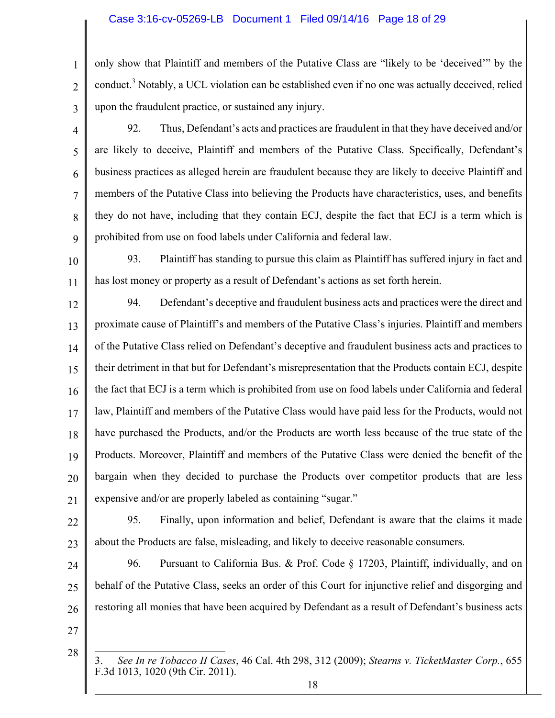### Case 3:16-cv-05269-LB Document 1 Filed 09/14/16 Page 18 of 29

only show that Plaintiff and members of the Putative Class are "likely to be 'deceived'" by the conduct.<sup>3</sup> Notably, a UCL violation can be established even if no one was actually deceived, relied upon the fraudulent practice, or sustained any injury.

- 4 5 6 7 8 9 92. Thus, Defendant's acts and practices are fraudulent in that they have deceived and/or are likely to deceive, Plaintiff and members of the Putative Class. Specifically, Defendant's business practices as alleged herein are fraudulent because they are likely to deceive Plaintiff and members of the Putative Class into believing the Products have characteristics, uses, and benefits they do not have, including that they contain ECJ, despite the fact that ECJ is a term which is prohibited from use on food labels under California and federal law.
- 10 11 93. Plaintiff has standing to pursue this claim as Plaintiff has suffered injury in fact and has lost money or property as a result of Defendant's actions as set forth herein.
- 12 13 14 15 16 17 18 19 20 21 94. Defendant's deceptive and fraudulent business acts and practices were the direct and proximate cause of Plaintiff's and members of the Putative Class's injuries. Plaintiff and members of the Putative Class relied on Defendant's deceptive and fraudulent business acts and practices to their detriment in that but for Defendant's misrepresentation that the Products contain ECJ, despite the fact that ECJ is a term which is prohibited from use on food labels under California and federal law, Plaintiff and members of the Putative Class would have paid less for the Products, would not have purchased the Products, and/or the Products are worth less because of the true state of the Products. Moreover, Plaintiff and members of the Putative Class were denied the benefit of the bargain when they decided to purchase the Products over competitor products that are less expensive and/or are properly labeled as containing "sugar."
- 22

23

1

 $\overline{2}$ 

3

95. Finally, upon information and belief, Defendant is aware that the claims it made about the Products are false, misleading, and likely to deceive reasonable consumers.

- 24 25 26 96. Pursuant to California Bus. & Prof. Code § 17203, Plaintiff, individually, and on behalf of the Putative Class, seeks an order of this Court for injunctive relief and disgorging and restoring all monies that have been acquired by Defendant as a result of Defendant's business acts
- 27 28
- $\overline{a}$ 3. *See In re Tobacco II Cases*, 46 Cal. 4th 298, 312 (2009); *Stearns v. TicketMaster Corp.*, 655 F.3d 1013, 1020 (9th Cir. 2011).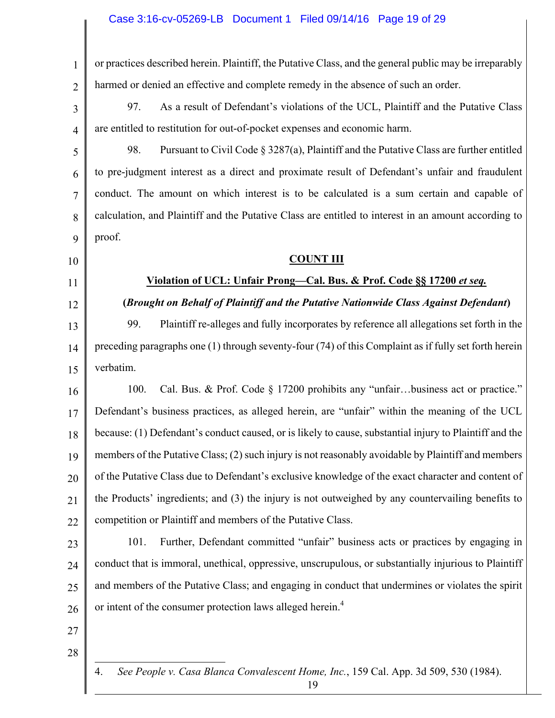### Case 3:16-cv-05269-LB Document 1 Filed 09/14/16 Page 19 of 29

or practices described herein. Plaintiff, the Putative Class, and the general public may be irreparably harmed or denied an effective and complete remedy in the absence of such an order.

3 97. As a result of Defendant's violations of the UCL, Plaintiff and the Putative Class are entitled to restitution for out-of-pocket expenses and economic harm.

98. Pursuant to Civil Code  $\S 3287(a)$ , Plaintiff and the Putative Class are further entitled to pre-judgment interest as a direct and proximate result of Defendant's unfair and fraudulent conduct. The amount on which interest is to be calculated is a sum certain and capable of calculation, and Plaintiff and the Putative Class are entitled to interest in an amount according to proof.

#### 10

1

2

4

5

6

7

8

9

#### **COUNT III**

### **Violation of UCL: Unfair Prong—Cal. Bus. & Prof. Code §§ 17200** *et seq.*

12

11

## **(***Brought on Behalf of Plaintiff and the Putative Nationwide Class Against Defendant***)**

13 14 15 99. Plaintiff re-alleges and fully incorporates by reference all allegations set forth in the preceding paragraphs one (1) through seventy-four (74) of this Complaint as if fully set forth herein verbatim.

16 17 18 19 20 21 22 100. Cal. Bus. & Prof. Code § 17200 prohibits any "unfair…business act or practice." Defendant's business practices, as alleged herein, are "unfair" within the meaning of the UCL because: (1) Defendant's conduct caused, or is likely to cause, substantial injury to Plaintiff and the members of the Putative Class; (2) such injury is not reasonably avoidable by Plaintiff and members of the Putative Class due to Defendant's exclusive knowledge of the exact character and content of the Products' ingredients; and (3) the injury is not outweighed by any countervailing benefits to competition or Plaintiff and members of the Putative Class.

23

24 25 26 101. Further, Defendant committed "unfair" business acts or practices by engaging in conduct that is immoral, unethical, oppressive, unscrupulous, or substantially injurious to Plaintiff and members of the Putative Class; and engaging in conduct that undermines or violates the spirit or intent of the consumer protection laws alleged herein.<sup>4</sup>

- 27
- 28

 $\overline{a}$ 

4. *See People v. Casa Blanca Convalescent Home, Inc.*, 159 Cal. App. 3d 509, 530 (1984).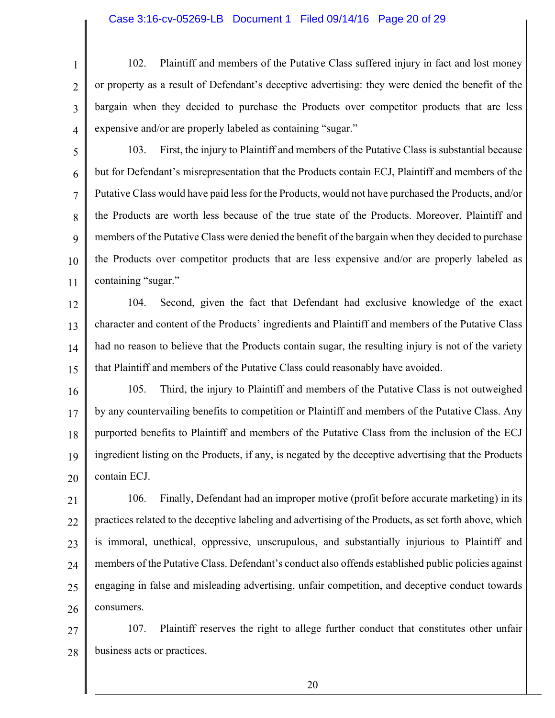#### Case 3:16-cv-05269-LB Document 1 Filed 09/14/16 Page 20 of 29

3 102. Plaintiff and members of the Putative Class suffered injury in fact and lost money or property as a result of Defendant's deceptive advertising: they were denied the benefit of the bargain when they decided to purchase the Products over competitor products that are less expensive and/or are properly labeled as containing "sugar."

5

4

1

 $\overline{2}$ 

6 7 8 9 10 11 103. First, the injury to Plaintiff and members of the Putative Class is substantial because but for Defendant's misrepresentation that the Products contain ECJ, Plaintiff and members of the Putative Class would have paid less for the Products, would not have purchased the Products, and/or the Products are worth less because of the true state of the Products. Moreover, Plaintiff and members of the Putative Class were denied the benefit of the bargain when they decided to purchase the Products over competitor products that are less expensive and/or are properly labeled as containing "sugar."

12 13 14 15 104. Second, given the fact that Defendant had exclusive knowledge of the exact character and content of the Products' ingredients and Plaintiff and members of the Putative Class had no reason to believe that the Products contain sugar, the resulting injury is not of the variety that Plaintiff and members of the Putative Class could reasonably have avoided.

16 17 18 19 20 105. Third, the injury to Plaintiff and members of the Putative Class is not outweighed by any countervailing benefits to competition or Plaintiff and members of the Putative Class. Any purported benefits to Plaintiff and members of the Putative Class from the inclusion of the ECJ ingredient listing on the Products, if any, is negated by the deceptive advertising that the Products contain ECJ.

21 22 23 24 25 26 106. Finally, Defendant had an improper motive (profit before accurate marketing) in its practices related to the deceptive labeling and advertising of the Products, as set forth above, which is immoral, unethical, oppressive, unscrupulous, and substantially injurious to Plaintiff and members of the Putative Class. Defendant's conduct also offends established public policies against engaging in false and misleading advertising, unfair competition, and deceptive conduct towards consumers.

27 28 107. Plaintiff reserves the right to allege further conduct that constitutes other unfair business acts or practices.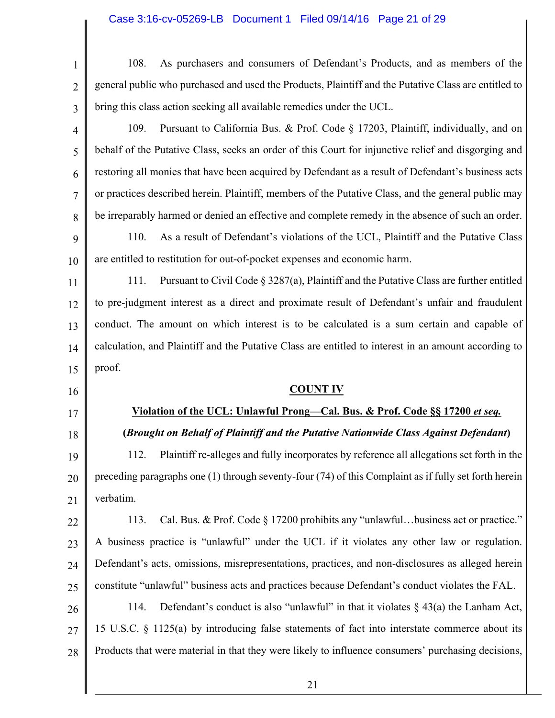## Case 3:16-cv-05269-LB Document 1 Filed 09/14/16 Page 21 of 29

| $\mathbf{1}$         | As purchasers and consumers of Defendant's Products, and as members of the<br>108.                        |  |  |
|----------------------|-----------------------------------------------------------------------------------------------------------|--|--|
| $\overline{2}$       | general public who purchased and used the Products, Plaintiff and the Putative Class are entitled to      |  |  |
| 3                    | bring this class action seeking all available remedies under the UCL.                                     |  |  |
| $\overline{4}$       | Pursuant to California Bus. & Prof. Code § 17203, Plaintiff, individually, and on<br>109.                 |  |  |
| 5                    | behalf of the Putative Class, seeks an order of this Court for injunctive relief and disgorging and       |  |  |
| 6                    | restoring all monies that have been acquired by Defendant as a result of Defendant's business acts        |  |  |
| 7                    | or practices described herein. Plaintiff, members of the Putative Class, and the general public may       |  |  |
| 8                    | be irreparably harmed or denied an effective and complete remedy in the absence of such an order.         |  |  |
| 9                    | As a result of Defendant's violations of the UCL, Plaintiff and the Putative Class<br>110.                |  |  |
| 10                   | are entitled to restitution for out-of-pocket expenses and economic harm.                                 |  |  |
| 11                   | Pursuant to Civil Code $\S 3287(a)$ , Plaintiff and the Putative Class are further entitled<br>111.       |  |  |
| 12                   | to pre-judgment interest as a direct and proximate result of Defendant's unfair and fraudulent            |  |  |
| 13                   | conduct. The amount on which interest is to be calculated is a sum certain and capable of                 |  |  |
| 14                   | calculation, and Plaintiff and the Putative Class are entitled to interest in an amount according to      |  |  |
|                      |                                                                                                           |  |  |
|                      | proof.                                                                                                    |  |  |
|                      | <b>COUNT IV</b>                                                                                           |  |  |
|                      | Violation of the UCL: Unlawful Prong—Cal. Bus. & Prof. Code §§ 17200 et seq.                              |  |  |
| 15<br>16<br>17<br>18 | (Brought on Behalf of Plaintiff and the Putative Nationwide Class Against Defendant)                      |  |  |
| 19                   | Plaintiff re-alleges and fully incorporates by reference all allegations set forth in the<br>112.         |  |  |
|                      | preceding paragraphs one $(1)$ through seventy-four $(74)$ of this Complaint as if fully set forth herein |  |  |
| 20<br>21             | verbatim.                                                                                                 |  |  |
|                      | Cal. Bus. & Prof. Code § 17200 prohibits any "unlawfulbusiness act or practice."<br>113.                  |  |  |
| 22<br>23             | A business practice is "unlawful" under the UCL if it violates any other law or regulation.               |  |  |
| 24                   | Defendant's acts, omissions, misrepresentations, practices, and non-disclosures as alleged herein         |  |  |
| 25                   | constitute "unlawful" business acts and practices because Defendant's conduct violates the FAL.           |  |  |
| 26                   | Defendant's conduct is also "unlawful" in that it violates $\S$ 43(a) the Lanham Act,<br>114.             |  |  |
| 27                   | 15 U.S.C. § 1125(a) by introducing false statements of fact into interstate commerce about its            |  |  |
| 28                   | Products that were material in that they were likely to influence consumers' purchasing decisions,        |  |  |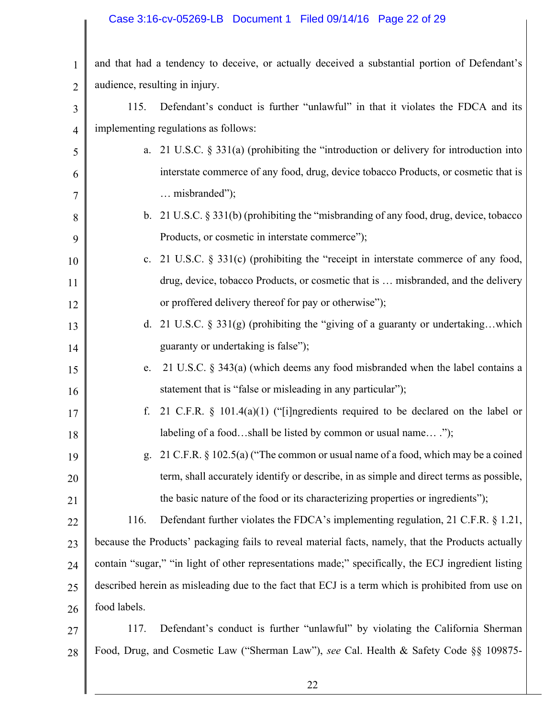## Case 3:16-cv-05269-LB Document 1 Filed 09/14/16 Page 22 of 29

| $\mathbf{1}$   | and that had a tendency to deceive, or actually deceived a substantial portion of Defendant's       |  |  |
|----------------|-----------------------------------------------------------------------------------------------------|--|--|
| $\overline{2}$ | audience, resulting in injury.                                                                      |  |  |
| 3              | Defendant's conduct is further "unlawful" in that it violates the FDCA and its<br>115.              |  |  |
| $\overline{4}$ | implementing regulations as follows:                                                                |  |  |
| 5              | a. 21 U.S.C. $\S$ 331(a) (prohibiting the "introduction or delivery for introduction into           |  |  |
| 6              | interstate commerce of any food, drug, device tobacco Products, or cosmetic that is                 |  |  |
| 7              | misbranded");                                                                                       |  |  |
| 8              | b. 21 U.S.C. $\S 331(b)$ (prohibiting the "misbranding of any food, drug, device, tobacco           |  |  |
| 9              | Products, or cosmetic in interstate commerce");                                                     |  |  |
| 10             | c. 21 U.S.C. $\S 331(c)$ (prohibiting the "receipt in interstate commerce of any food,              |  |  |
| 11             | drug, device, tobacco Products, or cosmetic that is  misbranded, and the delivery                   |  |  |
| 12             | or proffered delivery thereof for pay or otherwise");                                               |  |  |
| 13             | d. 21 U.S.C. $\S 331(g)$ (prohibiting the "giving of a guaranty or undertakingwhich                 |  |  |
| 14             | guaranty or undertaking is false");                                                                 |  |  |
| 15             | 21 U.S.C. § 343(a) (which deems any food misbranded when the label contains a<br>e.                 |  |  |
| 16             | statement that is "false or misleading in any particular");                                         |  |  |
| 17             | 21 C.F.R. $\S$ 101.4(a)(1) ("[i]ngredients required to be declared on the label or<br>f.            |  |  |
| 18             | labeling of a foodshall be listed by common or usual name");                                        |  |  |
| 19             | g. 21 C.F.R. § 102.5(a) ("The common or usual name of a food, which may be a coined                 |  |  |
| 20             | term, shall accurately identify or describe, in as simple and direct terms as possible,             |  |  |
| 21             | the basic nature of the food or its characterizing properties or ingredients");                     |  |  |
| 22             | Defendant further violates the FDCA's implementing regulation, 21 C.F.R. $\S$ 1.21,<br>116.         |  |  |
| 23             | because the Products' packaging fails to reveal material facts, namely, that the Products actually  |  |  |
| 24             | contain "sugar," "in light of other representations made;" specifically, the ECJ ingredient listing |  |  |
| 25             | described herein as misleading due to the fact that ECJ is a term which is prohibited from use on   |  |  |
| 26             | food labels.                                                                                        |  |  |
| 27             | Defendant's conduct is further "unlawful" by violating the California Sherman<br>117.               |  |  |
| 28             | Food, Drug, and Cosmetic Law ("Sherman Law"), see Cal. Health & Safety Code §§ 109875-              |  |  |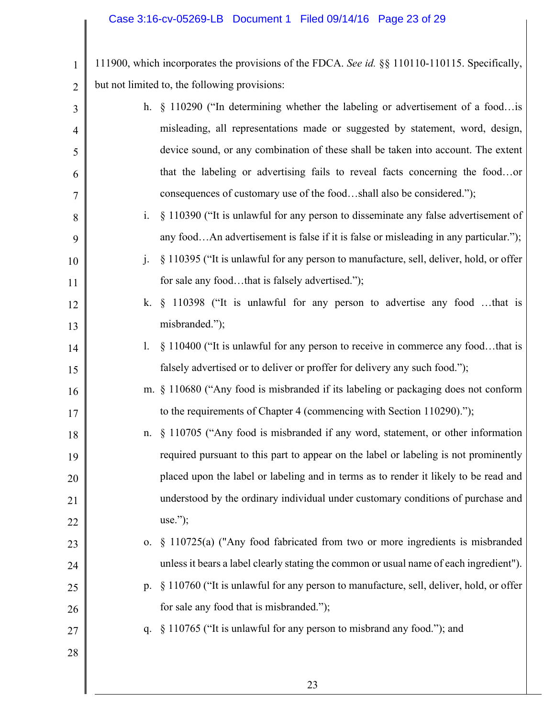1

2

111900, which incorporates the provisions of the FDCA. *See id.* §§ 110110-110115. Specifically, but not limited to, the following provisions:

| 3  |                | h. $\S$ 110290 ("In determining whether the labeling or advertisement of a food is     |
|----|----------------|----------------------------------------------------------------------------------------|
| 4  |                | misleading, all representations made or suggested by statement, word, design,          |
| 5  |                | device sound, or any combination of these shall be taken into account. The extent      |
| 6  |                | that the labeling or advertising fails to reveal facts concerning the foodor           |
| 7  |                | consequences of customary use of the foodshall also be considered.");                  |
| 8  | $\mathbf{i}$ . | § 110390 ("It is unlawful for any person to disseminate any false advertisement of     |
| 9  |                | any foodAn advertisement is false if it is false or misleading in any particular.");   |
| 10 | $\mathbf{i}$ . | § 110395 ("It is unlawful for any person to manufacture, sell, deliver, hold, or offer |
| 11 |                | for sale any foodthat is falsely advertised.");                                        |
| 12 |                | k. § 110398 ("It is unlawful for any person to advertise any food that is              |
| 13 |                | misbranded.");                                                                         |
| 14 | $\mathbf{l}$ . | § 110400 ("It is unlawful for any person to receive in commerce any foodthat is        |
| 15 |                | falsely advertised or to deliver or proffer for delivery any such food.");             |
| 16 |                | m. § 110680 ("Any food is misbranded if its labeling or packaging does not conform     |
| 17 |                | to the requirements of Chapter 4 (commencing with Section 110290).");                  |
| 18 |                | n. § 110705 ("Any food is misbranded if any word, statement, or other information      |
| 19 |                | required pursuant to this part to appear on the label or labeling is not prominently   |
| 20 |                | placed upon the label or labeling and in terms as to render it likely to be read and   |
| 21 |                | understood by the ordinary individual under customary conditions of purchase and       |
| 22 |                | $use.'$ ;                                                                              |
| 23 | 0.             | § 110725(a) ("Any food fabricated from two or more ingredients is misbranded           |
| 24 |                | unless it bears a label clearly stating the common or usual name of each ingredient"). |
| 25 | $p_{\cdot}$    | § 110760 ("It is unlawful for any person to manufacture, sell, deliver, hold, or offer |
| 26 |                | for sale any food that is misbranded.");                                               |
| 27 | q.             | § 110765 ("It is unlawful for any person to misbrand any food."); and                  |
| 28 |                |                                                                                        |
|    |                |                                                                                        |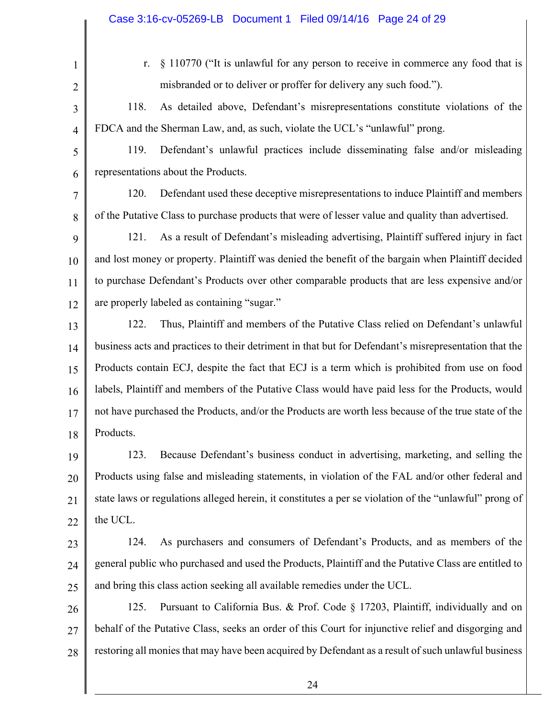|                | Case 3:16-cv-05269-LB  Document 1  Filed 09/14/16  Page 24 of 29                                       |  |
|----------------|--------------------------------------------------------------------------------------------------------|--|
|                |                                                                                                        |  |
| $\mathbf{1}$   | § 110770 ("It is unlawful for any person to receive in commerce any food that is<br>r.                 |  |
| $\overline{2}$ | misbranded or to deliver or proffer for delivery any such food.").                                     |  |
| 3              | As detailed above, Defendant's misrepresentations constitute violations of the<br>118.                 |  |
| $\overline{4}$ | FDCA and the Sherman Law, and, as such, violate the UCL's "unlawful" prong.                            |  |
| 5              | Defendant's unlawful practices include disseminating false and/or misleading<br>119.                   |  |
| 6              | representations about the Products.                                                                    |  |
| 7              | Defendant used these deceptive misrepresentations to induce Plaintiff and members<br>120.              |  |
| 8              | of the Putative Class to purchase products that were of lesser value and quality than advertised.      |  |
| 9              | As a result of Defendant's misleading advertising, Plaintiff suffered injury in fact<br>121.           |  |
| 10             | and lost money or property. Plaintiff was denied the benefit of the bargain when Plaintiff decided     |  |
| 11             | to purchase Defendant's Products over other comparable products that are less expensive and/or         |  |
| 12             | are properly labeled as containing "sugar."                                                            |  |
| 13             | Thus, Plaintiff and members of the Putative Class relied on Defendant's unlawful<br>122.               |  |
| 14             | business acts and practices to their detriment in that but for Defendant's misrepresentation that the  |  |
| 15             | Products contain ECJ, despite the fact that ECJ is a term which is prohibited from use on food         |  |
| 16             | labels, Plaintiff and members of the Putative Class would have paid less for the Products, would       |  |
| 17             | not have purchased the Products, and/or the Products are worth less because of the true state of the   |  |
| 18             | Products.                                                                                              |  |
| 19             | Because Defendant's business conduct in advertising, marketing, and selling the<br>123.                |  |
| 20             | Products using false and misleading statements, in violation of the FAL and/or other federal and       |  |
| 21             | state laws or regulations alleged herein, it constitutes a per se violation of the "unlawful" prong of |  |
| 22             | the UCL.                                                                                               |  |
| 23             | As purchasers and consumers of Defendant's Products, and as members of the<br>124.                     |  |
| 24             | general public who purchased and used the Products, Plaintiff and the Putative Class are entitled to   |  |
| 25             | and bring this class action seeking all available remedies under the UCL.                              |  |
| 26             | Pursuant to California Bus. & Prof. Code § 17203, Plaintiff, individually and on<br>125.               |  |
| 27             | behalf of the Putative Class, seeks an order of this Court for injunctive relief and disgorging and    |  |
| 28             | restoring all monies that may have been acquired by Defendant as a result of such unlawful business    |  |
|                |                                                                                                        |  |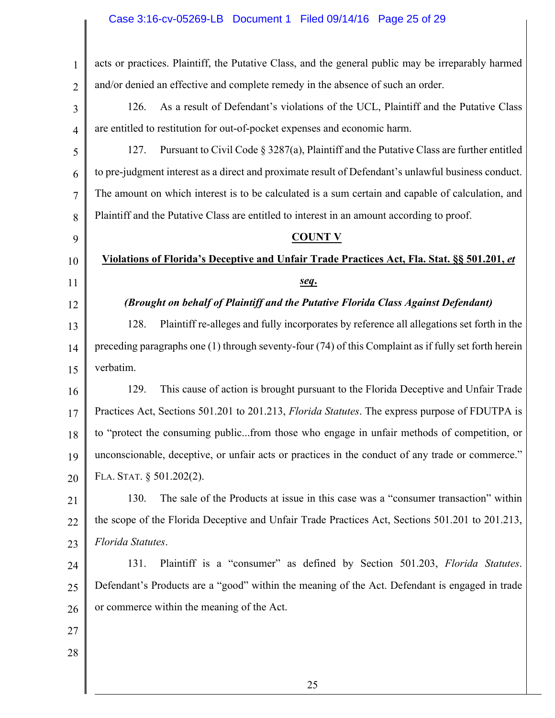## Case 3:16-cv-05269-LB Document 1 Filed 09/14/16 Page 25 of 29

| $\mathbf{1}$   | acts or practices. Plaintiff, the Putative Class, and the general public may be irreparably harmed        |
|----------------|-----------------------------------------------------------------------------------------------------------|
| $\overline{2}$ | and/or denied an effective and complete remedy in the absence of such an order.                           |
| 3              | As a result of Defendant's violations of the UCL, Plaintiff and the Putative Class<br>126.                |
| $\overline{4}$ | are entitled to restitution for out-of-pocket expenses and economic harm.                                 |
| 5              | Pursuant to Civil Code § 3287(a), Plaintiff and the Putative Class are further entitled<br>127.           |
| 6              | to pre-judgment interest as a direct and proximate result of Defendant's unlawful business conduct.       |
| 7              | The amount on which interest is to be calculated is a sum certain and capable of calculation, and         |
| 8              | Plaintiff and the Putative Class are entitled to interest in an amount according to proof.                |
| 9              | <b>COUNT V</b>                                                                                            |
| 10             | Violations of Florida's Deceptive and Unfair Trade Practices Act, Fla. Stat. §§ 501.201, et               |
| 11             | seq.                                                                                                      |
| 12             | (Brought on behalf of Plaintiff and the Putative Florida Class Against Defendant)                         |
| 13             | Plaintiff re-alleges and fully incorporates by reference all allegations set forth in the<br>128.         |
| 14             | preceding paragraphs one $(1)$ through seventy-four $(74)$ of this Complaint as if fully set forth herein |
| 15             | verbatim.                                                                                                 |
| 16             | This cause of action is brought pursuant to the Florida Deceptive and Unfair Trade<br>129.                |
| 17             | Practices Act, Sections 501.201 to 201.213, Florida Statutes. The express purpose of FDUTPA is            |
| 18             | to "protect the consuming publicfrom those who engage in unfair methods of competition, or                |
| 19             | unconscionable, deceptive, or unfair acts or practices in the conduct of any trade or commerce."          |
| 20             | FLA. STAT. $§$ 501.202(2).                                                                                |
| 21             | The sale of the Products at issue in this case was a "consumer transaction" within<br>130.                |
| 22             | the scope of the Florida Deceptive and Unfair Trade Practices Act, Sections 501.201 to 201.213,           |
| 23             | Florida Statutes.                                                                                         |
| 24             | Plaintiff is a "consumer" as defined by Section 501.203, Florida Statutes.<br>131.                        |
| 25             | Defendant's Products are a "good" within the meaning of the Act. Defendant is engaged in trade            |
| 26             | or commerce within the meaning of the Act.                                                                |
| 27             |                                                                                                           |
| 28             |                                                                                                           |
|                |                                                                                                           |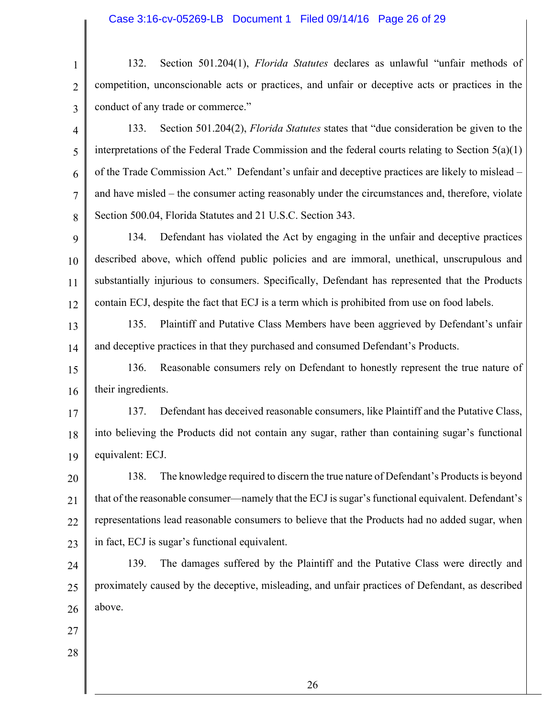1 2 3 132. Section 501.204(1), *Florida Statutes* declares as unlawful "unfair methods of competition, unconscionable acts or practices, and unfair or deceptive acts or practices in the conduct of any trade or commerce."

4 5 6 7 8 133. Section 501.204(2), *Florida Statutes* states that "due consideration be given to the interpretations of the Federal Trade Commission and the federal courts relating to Section 5(a)(1) of the Trade Commission Act." Defendant's unfair and deceptive practices are likely to mislead – and have misled – the consumer acting reasonably under the circumstances and, therefore, violate Section 500.04, Florida Statutes and 21 U.S.C. Section 343.

9 10 11 12 134. Defendant has violated the Act by engaging in the unfair and deceptive practices described above, which offend public policies and are immoral, unethical, unscrupulous and substantially injurious to consumers. Specifically, Defendant has represented that the Products contain ECJ, despite the fact that ECJ is a term which is prohibited from use on food labels.

13 14 135. Plaintiff and Putative Class Members have been aggrieved by Defendant's unfair and deceptive practices in that they purchased and consumed Defendant's Products.

15 16 136. Reasonable consumers rely on Defendant to honestly represent the true nature of their ingredients.

17 18 19 137. Defendant has deceived reasonable consumers, like Plaintiff and the Putative Class, into believing the Products did not contain any sugar, rather than containing sugar's functional equivalent: ECJ.

20 21 22 23 138. The knowledge required to discern the true nature of Defendant's Products is beyond that of the reasonable consumer—namely that the ECJ is sugar's functional equivalent. Defendant's representations lead reasonable consumers to believe that the Products had no added sugar, when in fact, ECJ is sugar's functional equivalent.

24 25 26 139. The damages suffered by the Plaintiff and the Putative Class were directly and proximately caused by the deceptive, misleading, and unfair practices of Defendant, as described above.

27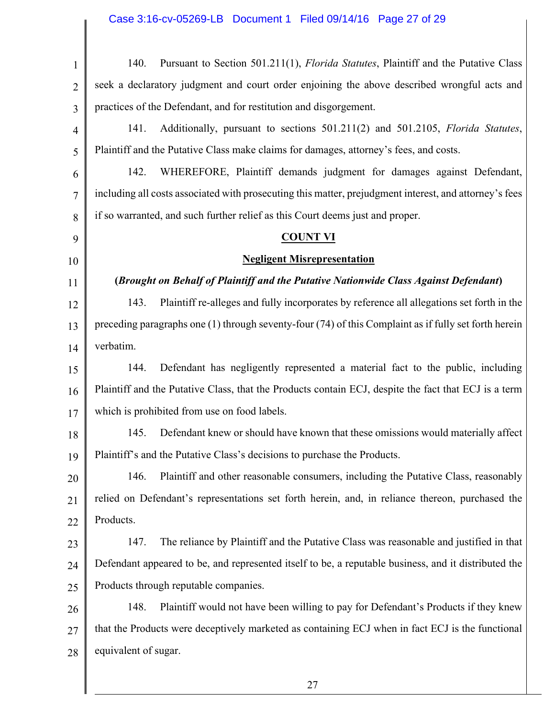| $\mathbf{1}$   | Pursuant to Section 501.211(1), <i>Florida Statutes</i> , Plaintiff and the Putative Class<br>140.     |  |  |
|----------------|--------------------------------------------------------------------------------------------------------|--|--|
| $\overline{2}$ | seek a declaratory judgment and court order enjoining the above described wrongful acts and            |  |  |
| 3              | practices of the Defendant, and for restitution and disgorgement.                                      |  |  |
| $\overline{4}$ | Additionally, pursuant to sections 501.211(2) and 501.2105, Florida Statutes,<br>141.                  |  |  |
| 5              | Plaintiff and the Putative Class make claims for damages, attorney's fees, and costs.                  |  |  |
| 6              | 142.<br>WHEREFORE, Plaintiff demands judgment for damages against Defendant,                           |  |  |
| 7              | including all costs associated with prosecuting this matter, prejudgment interest, and attorney's fees |  |  |
| 8              | if so warranted, and such further relief as this Court deems just and proper.                          |  |  |
| 9              | <b>COUNT VI</b>                                                                                        |  |  |
| 10             | <b>Negligent Misrepresentation</b>                                                                     |  |  |
| 11             | (Brought on Behalf of Plaintiff and the Putative Nationwide Class Against Defendant)                   |  |  |
| 12             | Plaintiff re-alleges and fully incorporates by reference all allegations set forth in the<br>143.      |  |  |
| 13             | preceding paragraphs one (1) through seventy-four (74) of this Complaint as if fully set forth herein  |  |  |
| 14             | verbatim.                                                                                              |  |  |
| 15             | Defendant has negligently represented a material fact to the public, including<br>144.                 |  |  |
| 16             | Plaintiff and the Putative Class, that the Products contain ECJ, despite the fact that ECJ is a term   |  |  |
| 17             | which is prohibited from use on food labels.                                                           |  |  |
| 18             | Defendant knew or should have known that these omissions would materially affect<br>145.               |  |  |
| 19             | Plaintiff's and the Putative Class's decisions to purchase the Products.                               |  |  |
| 20             | Plaintiff and other reasonable consumers, including the Putative Class, reasonably<br>146.             |  |  |
| 21             | relied on Defendant's representations set forth herein, and, in reliance thereon, purchased the        |  |  |
| 22             | Products.                                                                                              |  |  |
| 23             | The reliance by Plaintiff and the Putative Class was reasonable and justified in that<br>147.          |  |  |
| 24             | Defendant appeared to be, and represented itself to be, a reputable business, and it distributed the   |  |  |
| 25             | Products through reputable companies.                                                                  |  |  |
| 26             | 148.<br>Plaintiff would not have been willing to pay for Defendant's Products if they knew             |  |  |
| 27             | that the Products were deceptively marketed as containing ECJ when in fact ECJ is the functional       |  |  |
| 28             | equivalent of sugar.                                                                                   |  |  |
|                |                                                                                                        |  |  |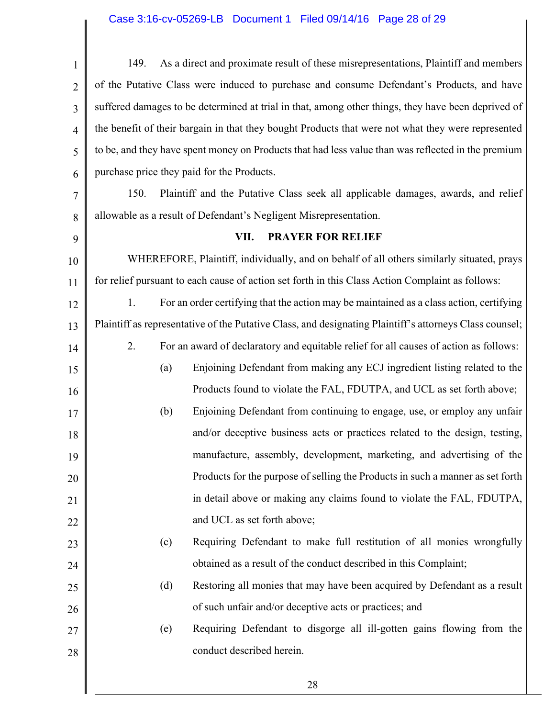## Case 3:16-cv-05269-LB Document 1 Filed 09/14/16 Page 28 of 29

| 1              | 149.                                                                                                    | As a direct and proximate result of these misrepresentations, Plaintiff and members     |  |  |
|----------------|---------------------------------------------------------------------------------------------------------|-----------------------------------------------------------------------------------------|--|--|
| $\overline{2}$ | of the Putative Class were induced to purchase and consume Defendant's Products, and have               |                                                                                         |  |  |
| 3              | suffered damages to be determined at trial in that, among other things, they have been deprived of      |                                                                                         |  |  |
| $\overline{4}$ | the benefit of their bargain in that they bought Products that were not what they were represented      |                                                                                         |  |  |
| 5              | to be, and they have spent money on Products that had less value than was reflected in the premium      |                                                                                         |  |  |
| 6              | purchase price they paid for the Products.                                                              |                                                                                         |  |  |
| 7              | 150.                                                                                                    | Plaintiff and the Putative Class seek all applicable damages, awards, and relief        |  |  |
| 8              | allowable as a result of Defendant's Negligent Misrepresentation.                                       |                                                                                         |  |  |
| 9              | VII.<br><b>PRAYER FOR RELIEF</b>                                                                        |                                                                                         |  |  |
| 10             | WHEREFORE, Plaintiff, individually, and on behalf of all others similarly situated, prays               |                                                                                         |  |  |
| 11             | for relief pursuant to each cause of action set forth in this Class Action Complaint as follows:        |                                                                                         |  |  |
| 12             | 1.                                                                                                      | For an order certifying that the action may be maintained as a class action, certifying |  |  |
| 13             | Plaintiff as representative of the Putative Class, and designating Plaintiff's attorneys Class counsel; |                                                                                         |  |  |
| 14             | 2.                                                                                                      | For an award of declaratory and equitable relief for all causes of action as follows:   |  |  |
| 15             | (a)                                                                                                     | Enjoining Defendant from making any ECJ ingredient listing related to the               |  |  |
| 16             |                                                                                                         | Products found to violate the FAL, FDUTPA, and UCL as set forth above;                  |  |  |
| 17             | (b)                                                                                                     | Enjoining Defendant from continuing to engage, use, or employ any unfair                |  |  |
| 18             |                                                                                                         | and/or deceptive business acts or practices related to the design, testing,             |  |  |
| 19             |                                                                                                         | manufacture, assembly, development, marketing, and advertising of the                   |  |  |
| 20             |                                                                                                         | Products for the purpose of selling the Products in such a manner as set forth          |  |  |
| 21             |                                                                                                         | in detail above or making any claims found to violate the FAL, FDUTPA,                  |  |  |
| 22             |                                                                                                         | and UCL as set forth above;                                                             |  |  |
| 23             | (c)                                                                                                     | Requiring Defendant to make full restitution of all monies wrongfully                   |  |  |
| 24             |                                                                                                         | obtained as a result of the conduct described in this Complaint;                        |  |  |
| 25             | (d)                                                                                                     | Restoring all monies that may have been acquired by Defendant as a result               |  |  |
| 26             |                                                                                                         | of such unfair and/or deceptive acts or practices; and                                  |  |  |
| 27             | (e)                                                                                                     | Requiring Defendant to disgorge all ill-gotten gains flowing from the                   |  |  |
| 28             |                                                                                                         | conduct described herein.                                                               |  |  |
|                |                                                                                                         |                                                                                         |  |  |
|                |                                                                                                         | 28                                                                                      |  |  |